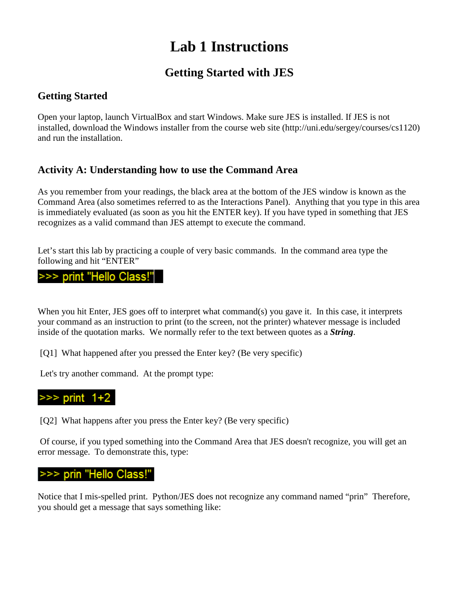# **Lab 1 Instructions**

# **Getting Started with JES**

# **Getting Started**

Open your laptop, launch VirtualBox and start Windows. Make sure JES is installed. If JES is not installed, download the Windows installer from the course web site (http://uni.edu/sergey/courses/cs1120) and run the installation.

# **Activity A: Understanding how to use the Command Area**

As you remember from your readings, the black area at the bottom of the JES window is known as the Command Area (also sometimes referred to as the Interactions Panel). Anything that you type in this area is immediately evaluated (as soon as you hit the ENTER key). If you have typed in something that JES recognizes as a valid command than JES attempt to execute the command.

Let's start this lab by practicing a couple of very basic commands. In the command area type the following and hit "ENTER"

#### >>> print "Hello Class!"

When you hit Enter, JES goes off to interpret what command(s) you gave it. In this case, it interprets your command as an instruction to print (to the screen, not the printer) whatever message is included inside of the quotation marks. We normally refer to the text between quotes as a *String*.

[Q1] What happened after you pressed the Enter key? (Be very specific)

Let's try another command. At the prompt type:



[Q2] What happens after you press the Enter key? (Be very specific)

Of course, if you typed something into the Command Area that JES doesn't recognize, you will get an error message. To demonstrate this, type:

#### prin "Hello Class!"

Notice that I mis-spelled print. Python/JES does not recognize any command named "prin" Therefore, you should get a message that says something like: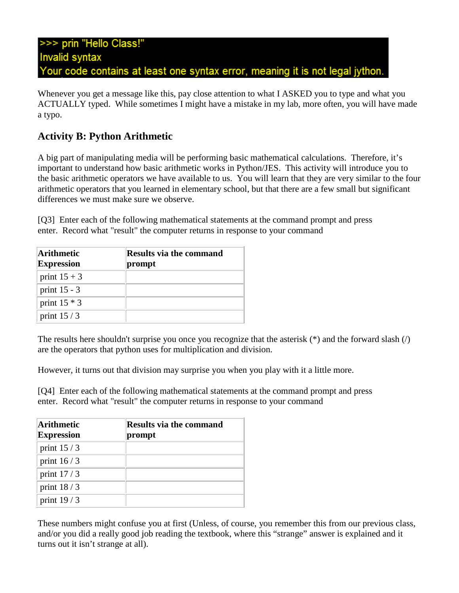Whenever you get a message like this, pay close attention to what I ASKED you to type and what you ACTUALLY typed. While sometimes I might have a mistake in my lab, more often, you will have made a typo.

### **Activity B: Python Arithmetic**

A big part of manipulating media will be performing basic mathematical calculations. Therefore, it's important to understand how basic arithmetic works in Python/JES. This activity will introduce you to the basic arithmetic operators we have available to us. You will learn that they are very similar to the four arithmetic operators that you learned in elementary school, but that there are a few small but significant differences we must make sure we observe.

[Q3] Enter each of the following mathematical statements at the command prompt and press enter. Record what "result" the computer returns in response to your command

| Arithmetic<br><b>Expression</b> | Results via the command<br>prompt |
|---------------------------------|-----------------------------------|
| print $15 + 3$                  |                                   |
| print $15 - 3$                  |                                   |
| print $15 * 3$                  |                                   |
| print $15/3$                    |                                   |

The results here shouldn't surprise you once you recognize that the asterisk  $(*)$  and the forward slash  $()$ are the operators that python uses for multiplication and division.

However, it turns out that division may surprise you when you play with it a little more.

[Q4] Enter each of the following mathematical statements at the command prompt and press enter. Record what "result" the computer returns in response to your command

| Arithmetic<br><b>Expression</b> | <b>Results via the command</b><br>prompt |
|---------------------------------|------------------------------------------|
| print $15/3$                    |                                          |
| print $16/3$                    |                                          |
| print $17/3$                    |                                          |
| print $18/3$                    |                                          |
| print $19/3$                    |                                          |

These numbers might confuse you at first (Unless, of course, you remember this from our previous class, and/or you did a really good job reading the textbook, where this "strange" answer is explained and it turns out it isn't strange at all).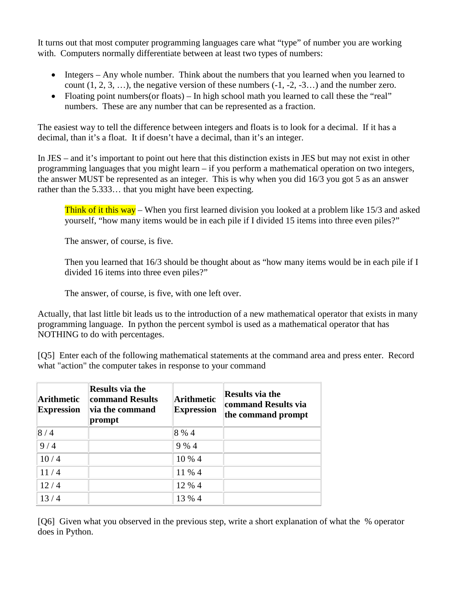It turns out that most computer programming languages care what "type" of number you are working with. Computers normally differentiate between at least two types of numbers:

- Integers Any whole number. Think about the numbers that you learned when you learned to count  $(1, 2, 3, \ldots)$ , the negative version of these numbers  $(-1, -2, -3, \ldots)$  and the number zero.
- Floating point numbers(or floats) In high school math you learned to call these the "real" numbers. These are any number that can be represented as a fraction.

The easiest way to tell the difference between integers and floats is to look for a decimal. If it has a decimal, than it's a float. It if doesn't have a decimal, than it's an integer.

In JES – and it's important to point out here that this distinction exists in JES but may not exist in other programming languages that you might learn – if you perform a mathematical operation on two integers, the answer MUST be represented as an integer. This is why when you did 16/3 you got 5 as an answer rather than the 5.333… that you might have been expecting.

Think of it this way – When you first learned division you looked at a problem like 15/3 and asked yourself, "how many items would be in each pile if I divided 15 items into three even piles?"

The answer, of course, is five.

Then you learned that 16/3 should be thought about as "how many items would be in each pile if I divided 16 items into three even piles?"

The answer, of course, is five, with one left over.

Actually, that last little bit leads us to the introduction of a new mathematical operator that exists in many programming language. In python the percent symbol is used as a mathematical operator that has NOTHING to do with percentages.

[Q5] Enter each of the following mathematical statements at the command area and press enter. Record what "action" the computer takes in response to your command

| <b>Arithmetic</b><br><b>Expression</b> | <b>Results via the</b><br>command Results<br>via the command<br>prompt | <b>Arithmetic</b><br><b>Expression</b> | <b>Results via the</b><br>command Results via<br>the command prompt |
|----------------------------------------|------------------------------------------------------------------------|----------------------------------------|---------------------------------------------------------------------|
| 8/4                                    |                                                                        | 8 % 4                                  |                                                                     |
| 9/4                                    |                                                                        | 9%4                                    |                                                                     |
| 10/4                                   |                                                                        | 10 % 4                                 |                                                                     |
| 11/4                                   |                                                                        | 11 % 4                                 |                                                                     |
| 12/4                                   |                                                                        | 12 % 4                                 |                                                                     |
| 13/4                                   |                                                                        | 13 % 4                                 |                                                                     |

[Q6] Given what you observed in the previous step, write a short explanation of what the % operator does in Python.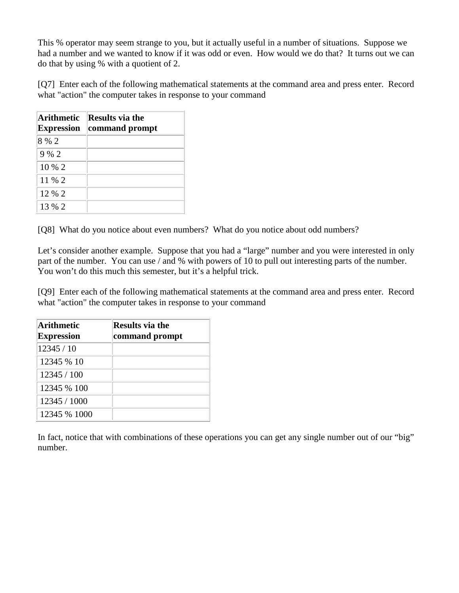This % operator may seem strange to you, but it actually useful in a number of situations. Suppose we had a number and we wanted to know if it was odd or even. How would we do that? It turns out we can do that by using % with a quotient of 2.

[Q7] Enter each of the following mathematical statements at the command area and press enter. Record what "action" the computer takes in response to your command

| Arithmetic<br><b>Expression</b> | <b>Results via the</b><br>command prompt |
|---------------------------------|------------------------------------------|
| 8 % 2                           |                                          |
| 9%2                             |                                          |
| $10\%2$                         |                                          |
| 11 % 2                          |                                          |
| 12 % 2                          |                                          |
| 13 % 2                          |                                          |

[Q8] What do you notice about even numbers? What do you notice about odd numbers?

Let's consider another example. Suppose that you had a "large" number and you were interested in only part of the number. You can use / and % with powers of 10 to pull out interesting parts of the number. You won't do this much this semester, but it's a helpful trick.

[Q9] Enter each of the following mathematical statements at the command area and press enter. Record what "action" the computer takes in response to your command

| Arithmetic<br><b>Expression</b> | <b>Results via the</b><br>command prompt |
|---------------------------------|------------------------------------------|
| 12345/10                        |                                          |
| 12345 % 10                      |                                          |
| 12345 / 100                     |                                          |
| 12345 % 100                     |                                          |
| 12345 / 1000                    |                                          |
| 12345 % 1000                    |                                          |

In fact, notice that with combinations of these operations you can get any single number out of our "big" number.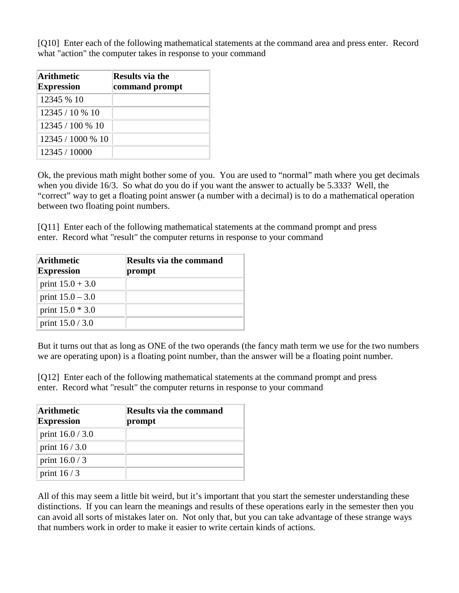[Q10] Enter each of the following mathematical statements at the command area and press enter. Record what "action" the computer takes in response to your command

| Arithmetic<br><b>Expression</b> | <b>Results via the</b><br>command prompt |
|---------------------------------|------------------------------------------|
| 12345 % 10                      |                                          |
| 12345 / 10 % 10                 |                                          |
| 12345/100 % 10                  |                                          |
| 12345/1000 % 10                 |                                          |
| 12345 / 10000                   |                                          |

Ok, the previous math might bother some of you. You are used to "normal" math where you get decimals when you divide 16/3. So what do you do if you want the answer to actually be 5.333? Well, the "correct" way to get a floating point answer (a number with a decimal) is to do a mathematical operation between two floating point numbers.

[Q11] Enter each of the following mathematical statements at the command prompt and press enter. Record what "result" the computer returns in response to your command

| Arithmetic<br><b>Expression</b> | <b>Results via the command</b><br>prompt |
|---------------------------------|------------------------------------------|
| print $15.0 + 3.0$              |                                          |
| print $15.0 - 3.0$              |                                          |
| print $15.0 * 3.0$              |                                          |
| print $15.0 / 3.0$              |                                          |

But it turns out that as long as ONE of the two operands (the fancy math term we use for the two numbers we are operating upon) is a floating point number, than the answer will be a floating point number.

[Q12] Enter each of the following mathematical statements at the command prompt and press enter. Record what "result" the computer returns in response to your command

| <b>Arithmetic</b><br><b>Expression</b> | <b>Results via the command</b><br>prompt |
|----------------------------------------|------------------------------------------|
| print $16.0 / 3.0$                     |                                          |
| print $16/3.0$                         |                                          |
| print $16.0/3$                         |                                          |
| print $16/3$                           |                                          |

All of this may seem a little bit weird, but it's important that you start the semester understanding these distinctions. If you can learn the meanings and results of these operations early in the semester then you can avoid all sorts of mistakes later on. Not only that, but you can take advantage of these strange ways that numbers work in order to make it easier to write certain kinds of actions.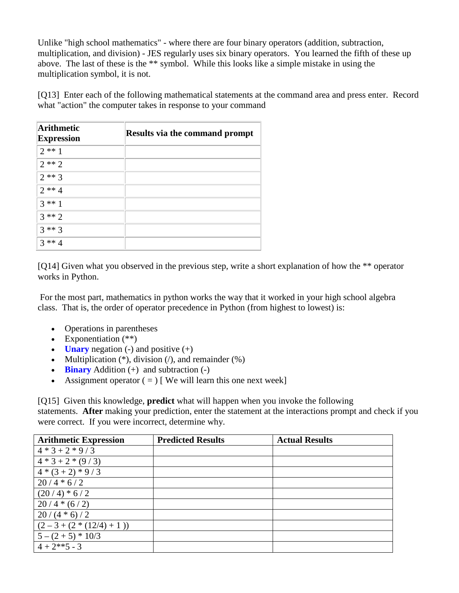Unlike "high school mathematics" - where there are four binary operators (addition, subtraction, multiplication, and division) - JES regularly uses six binary operators. You learned the fifth of these up above. The last of these is the \*\* symbol. While this looks like a simple mistake in using the multiplication symbol, it is not.

[Q13] Enter each of the following mathematical statements at the command area and press enter. Record what "action" the computer takes in response to your command

| <b>Arithmetic</b><br><b>Expression</b> | <b>Results via the command prompt</b> |
|----------------------------------------|---------------------------------------|
| $2**1$                                 |                                       |
| $2**2$                                 |                                       |
| $2**3$                                 |                                       |
| $2 * * 4$                              |                                       |
| $3 * 1$                                |                                       |
| $3**2$                                 |                                       |
| $3**3$                                 |                                       |
| $3 * * 4$                              |                                       |

[Q14] Given what you observed in the previous step, write a short explanation of how the \*\* operator works in Python.

For the most part, mathematics in python works the way that it worked in your high school algebra class. That is, the order of operator precedence in Python (from highest to lowest) is:

- Operations in parentheses
- Exponentiation  $(**)$
- **Unary** negation  $(-)$  and positive  $(+)$
- Multiplication  $(*)$ , division  $//$ , and remainder  $(*)$
- **Binary** Addition (+) and subtraction (-)
- Assignment operator  $( = )$  [We will learn this one next week]

[Q15] Given this knowledge, **predict** what will happen when you invoke the following statements. **After** making your prediction, enter the statement at the interactions prompt and check if you were correct. If you were incorrect, determine why.

| <b>Arithmetic Expression</b> | <b>Predicted Results</b> | <b>Actual Results</b> |
|------------------------------|--------------------------|-----------------------|
| $4 * 3 + 2 * 9 / 3$          |                          |                       |
| $4 * 3 + 2 * (9 / 3)$        |                          |                       |
| $4*(3+2)*9/3$                |                          |                       |
| $20/4 * 6/2$                 |                          |                       |
| $(20/4)*(6/2)$               |                          |                       |
| $20/4*(6/2)$                 |                          |                       |
| $20/(4 * 6)/2$               |                          |                       |
| $(2-3+(2*(12/4)+1))$         |                          |                       |
| $5 - (2 + 5) * 10/3$         |                          |                       |
| $4 + 2**5 - 3$               |                          |                       |